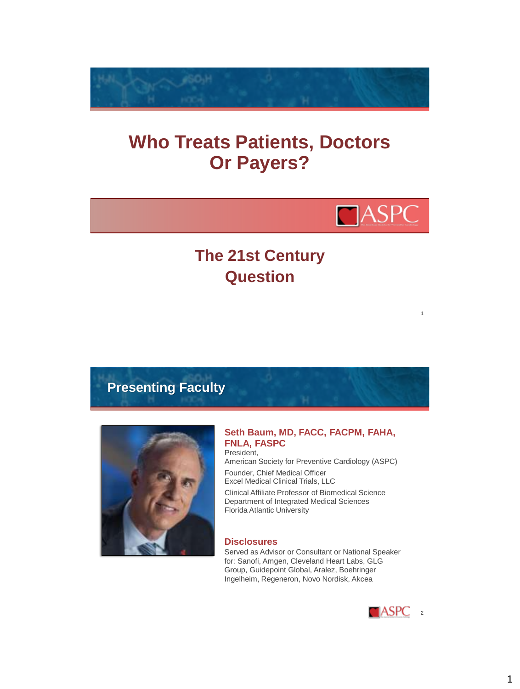

# **Who Treats Patients, Doctors Or Payers?**



1

## **The 21st Century Question**

**Presenting Faculty**



#### **Seth Baum, MD, FACC, FACPM, FAHA, FNLA, FASPC** President,

American Society for Preventive Cardiology (ASPC)

Founder, Chief Medical Officer Excel Medical Clinical Trials, LLC

Clinical Affiliate Professor of Biomedical Science Department of Integrated Medical Sciences Florida Atlantic University

#### **Disclosures**

Served as Advisor or Consultant or National Speaker for: Sanofi, Amgen, Cleveland Heart Labs, GLG Group, Guidepoint Global, Aralez, Boehringer Ingelheim, Regeneron, Novo Nordisk, Akcea

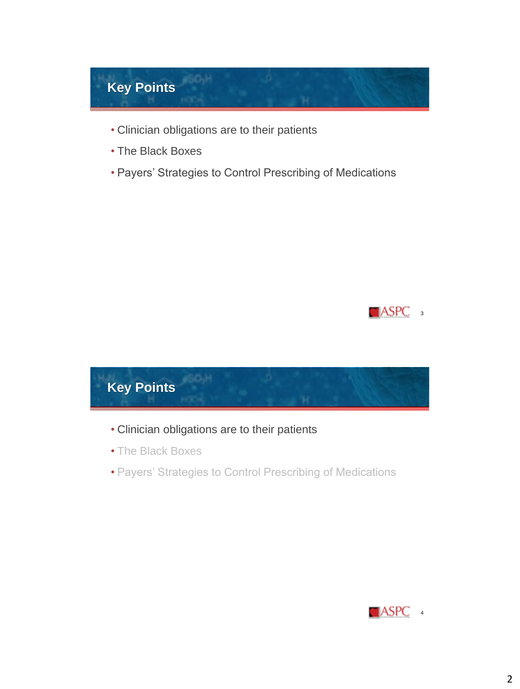

- Clinician obligations are to their patients
- The Black Boxes
- Payers' Strategies to Control Prescribing of Medications





- Clinician obligations are to their patients
- The Black Boxes
- Payers' Strategies to Control Prescribing of Medications

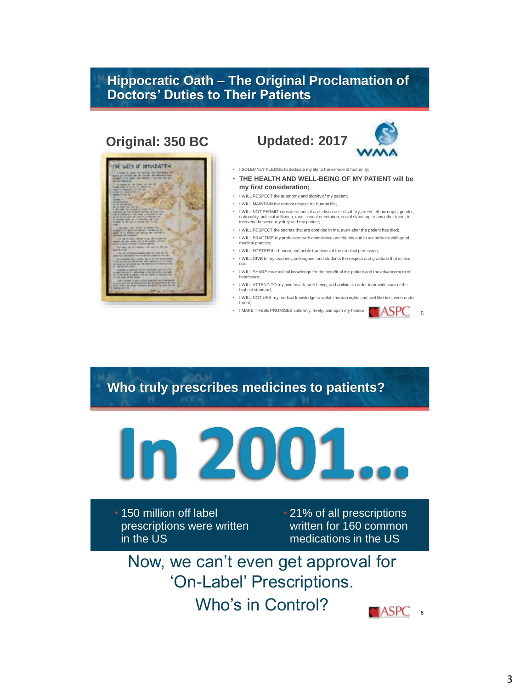### **Hippocratic Oath – The Original Proclamation of Doctors' Duties to Their Patients**

## **Original: 350 BC Updated: 2017**

THE GATH OF HITOSPATES





5

- I SOLEMNLY PLEDGE to dedicate my life to the service of humanity;
- **THE HEALTH AND WELL-BEING OF MY PATIENT will be my first consideration;**
- I WILL RESPECT the autonomy and dignity of my patient;
- I WILL MAINTAIN the utmost respect for human life;
- I WILL NOT PERMIT considerations of age, disease or disability, creed, ethnic origin, gender, nationality, political affiliation, race, sexual orientation, social standing, or any other factor to intervene between my duty and my patient;
- I WILL RESPECT the secrets that are confided in me, even after the patient has died;
- I WILL PRACTISE my profession with conscience and dignity and in accordance with good edical practice
- I WILL FOSTER the honour and noble traditions of the medical profession;
- I WILL GIVE to my teachers, colleagues, and students the respect and gratitude that is their due;
- I WILL SHARE my medical knowledge for the benefit of the patient and the advancement of healthcare;
- I WILL ATTEND TO my own health, well-being, and abilities in order to provide care of the highest sta
- I WILL NOT USE my medical knowledge to violate human rights and civil liberties, even under threat;
- I MAKE THESE PROMISES solemnly, freely, and upon my honour.  $\Box$   $\mathsf{ASP}$

## **Who truly prescribes medicines to patients?**



• 150 million off label prescriptions were written in the US

• 21% of all prescriptions written for 160 common medications in the US

Now, we can't even get approval for 'On-Label' Prescriptions.

Who's in Control?

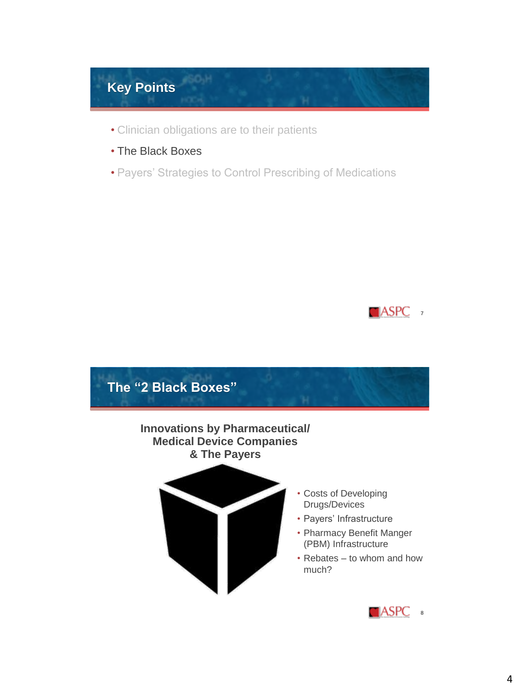

- Clinician obligations are to their patients
- The Black Boxes
- Payers' Strategies to Control Prescribing of Medications



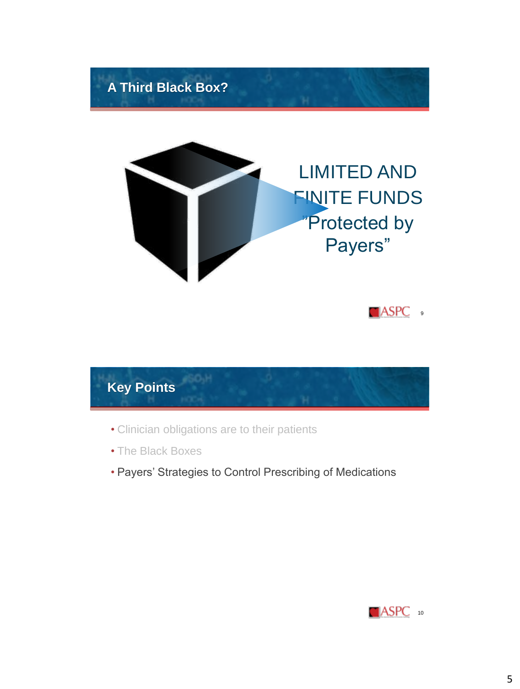





- Clinician obligations are to their patients
- The Black Boxes
- Payers' Strategies to Control Prescribing of Medications

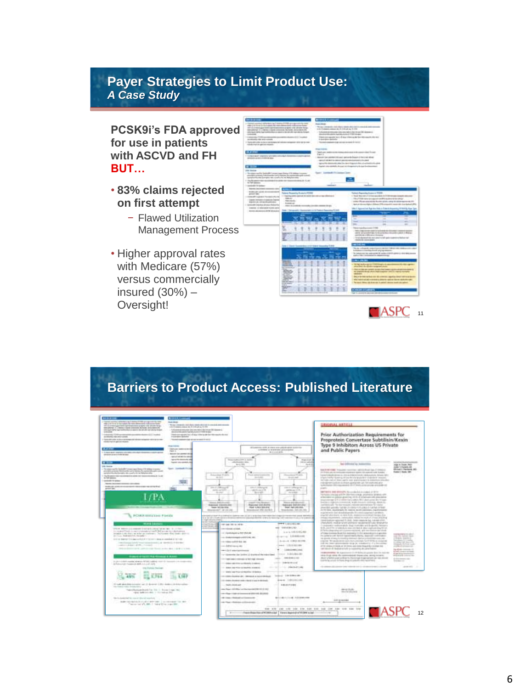### **Payer Strategies to Limit Product Use:**  *A Case Study*

#### **PCSK9i's FDA approved for use in patients with ASCVD and FH BUT…**

- **83% claims rejected on first attempt**
	- − Flawed Utilization Management Process
- Higher approval rates with Medicare (57%) versus commercially insured (30%) – Oversight!



## **Barriers to Product Access: Published Literature**

| and but the local states of 1700 at a special city of<br>Dan 17 E-2 k de la diskupato del viene diskup-socio i colonico de maio<br>AT 12 a store gas labor perfectionism angled with situate leng-                                                                                                                                                                                                                                                                                                                                                                                                                                                                                                                                                                                                                                                                                                                                                                                                                                                                                                                                                                                                                                                                                                                                                                                                                                     | <b>Building</b><br>The local community and should depend and a local decomposite descriptions of<br>a derivational company and children by the tree                                                                                                                                                                    |                                                                                                                                                                                                                                                                                                                                                                                                                                                                                                                                                                                                                                                                                                                                                                                                                                                                                                                                                                                                                                                                                                                                                                                                                                                                                                                                                                                                                                                                                                                                                                                                                                                                                                                                                                                                                                                                                            | <b>DRIGHAL ARTICLE</b>                                                                                                                                                                                                                                                                                                                                                                                                                                                                                                                                                                                                                                                                                                                                                                                                                                                                                                                                                                                                                                                                                                                                                                                                                                                                                                                                                                                                                                                                                                                                                                                                                                                                                                                                                                                                                                                                                                                                                                                                                                                                                                                                                                                                                                                                                                                                                                                                                                                                                                                                                                                                                                        |                                                                                                                                                                                                                                                                                                                                                                                                                   |
|----------------------------------------------------------------------------------------------------------------------------------------------------------------------------------------------------------------------------------------------------------------------------------------------------------------------------------------------------------------------------------------------------------------------------------------------------------------------------------------------------------------------------------------------------------------------------------------------------------------------------------------------------------------------------------------------------------------------------------------------------------------------------------------------------------------------------------------------------------------------------------------------------------------------------------------------------------------------------------------------------------------------------------------------------------------------------------------------------------------------------------------------------------------------------------------------------------------------------------------------------------------------------------------------------------------------------------------------------------------------------------------------------------------------------------------|------------------------------------------------------------------------------------------------------------------------------------------------------------------------------------------------------------------------------------------------------------------------------------------------------------------------|--------------------------------------------------------------------------------------------------------------------------------------------------------------------------------------------------------------------------------------------------------------------------------------------------------------------------------------------------------------------------------------------------------------------------------------------------------------------------------------------------------------------------------------------------------------------------------------------------------------------------------------------------------------------------------------------------------------------------------------------------------------------------------------------------------------------------------------------------------------------------------------------------------------------------------------------------------------------------------------------------------------------------------------------------------------------------------------------------------------------------------------------------------------------------------------------------------------------------------------------------------------------------------------------------------------------------------------------------------------------------------------------------------------------------------------------------------------------------------------------------------------------------------------------------------------------------------------------------------------------------------------------------------------------------------------------------------------------------------------------------------------------------------------------------------------------------------------------------------------------------------------------|---------------------------------------------------------------------------------------------------------------------------------------------------------------------------------------------------------------------------------------------------------------------------------------------------------------------------------------------------------------------------------------------------------------------------------------------------------------------------------------------------------------------------------------------------------------------------------------------------------------------------------------------------------------------------------------------------------------------------------------------------------------------------------------------------------------------------------------------------------------------------------------------------------------------------------------------------------------------------------------------------------------------------------------------------------------------------------------------------------------------------------------------------------------------------------------------------------------------------------------------------------------------------------------------------------------------------------------------------------------------------------------------------------------------------------------------------------------------------------------------------------------------------------------------------------------------------------------------------------------------------------------------------------------------------------------------------------------------------------------------------------------------------------------------------------------------------------------------------------------------------------------------------------------------------------------------------------------------------------------------------------------------------------------------------------------------------------------------------------------------------------------------------------------------------------------------------------------------------------------------------------------------------------------------------------------------------------------------------------------------------------------------------------------------------------------------------------------------------------------------------------------------------------------------------------------------------------------------------------------------------------------------------------------|-------------------------------------------------------------------------------------------------------------------------------------------------------------------------------------------------------------------------------------------------------------------------------------------------------------------------------------------------------------------------------------------------------------------|
| detailed 1 (494) (cash convent function at a cash of<br>enticipate lates has contributions a state in the pit shit non-stores for pat-<br><b>STATISTICS</b><br>14 degrees 1700 construction construction degree 122 (a color)<br>decomposition rates procurements<br>7 Thursday and the district of the constitutions and the determinant constitution of the distributions<br>Allows may be updated microstr<br><b>CARLO A</b>                                                                                                                                                                                                                                                                                                                                                                                                                                                                                                                                                                                                                                                                                                                                                                                                                                                                                                                                                                                                        | futuriza di morsi cin no televizi in priti dato e il<br>passion designer management (1983 model)<br>Their convenience to a \$1 day of the system for this experts the top<br>In paintains spoketic<br>The property department and their convenience for the U.S.<br><b>Shake Holmes</b><br>lands are stationed to call | All colorers at \$10, at more and policies and colorers                                                                                                                                                                                                                                                                                                                                                                                                                                                                                                                                                                                                                                                                                                                                                                                                                                                                                                                                                                                                                                                                                                                                                                                                                                                                                                                                                                                                                                                                                                                                                                                                                                                                                                                                                                                                                                    | Prior Authorization Requirements for<br>Proprotein Convertase Subtilisin/Kexin<br>Type 9 Inhibitors Across US Private                                                                                                                                                                                                                                                                                                                                                                                                                                                                                                                                                                                                                                                                                                                                                                                                                                                                                                                                                                                                                                                                                                                                                                                                                                                                                                                                                                                                                                                                                                                                                                                                                                                                                                                                                                                                                                                                                                                                                                                                                                                                                                                                                                                                                                                                                                                                                                                                                                                                                                                                         |                                                                                                                                                                                                                                                                                                                                                                                                                   |
| Lawyer warm your children should downtown about the<br>AR RIVER AS WELL FOR A ROAD.<br><b>William</b><br><b>With Historia</b><br>for size that the factories have a particular in the present<br>planeted accounts information can arrivable the content blood in consti-<br>and the first side processes the country for the Melayers and a<br>- The Ricaman convenience is a state-on-manufacturer in A. de-<br><b>ATMOSPHERE</b><br>- consented to believe.<br><b>Rents best lease a comment consistence</b><br>Institute with environments throughout your photo for<br>Antennati Viene<br>POUULIBRIQUE Fields<br>were like<br>this attenual second balled into the late for the<br>in a search finds any morning people in multiple products a distribution<br>briggin is the first one in his operation to buy because which leads a detection<br>Statistics Madematerials Productions<br>(in the red share and if the stage and of a the first function of the data in considered by the redak<br>Translationary Laboraty recognizations in the state of Laboratory and<br>control in a sub-data to all P.D., changes of<br>Industrial process start controls of the Norma Archive Box 1130-1131 (1994).<br><b><i>State of facts had foreign &amp; Assn</i></b><br>In printed with a series and was a MOSE to able to the first formation of construction.<br>Andreas man houses Or MA in Line 1998.<br>ting Electrical Payment | Earn L<br><b>Because Law Laborator L &amp; Light</b><br>particularly and the interest<br>because they demonstrated with<br>land co-ments of<br>Sent contact: Inco<br><b>Kigdi collection</b><br><b>ATACCA</b><br>---                                                                                                   | A Perfers or A revenues and controllers.<br><b>WILLET MIR</b><br>Wellington and Army Jr. Jacketts<br><b>CONTINUES INC.</b><br>w-cchis<br>Homewagener \$1.400m<br>American U.S.<br><b>Find amounts</b><br>$-111$<br><b>COLLEGE</b><br><b>COLLEGE</b><br><b>JULIA LEGAND</b><br><b>HARTHAMES</b><br><b>STATISTICS</b> AND INCOME.<br>station 1/3<br>partners 1/75.<br><b>Boundary</b><br><b>Scott</b><br><b>PLANE</b><br>Manager & McGraw-And<br>Located Arts Street<br><b><i>Stage Address</i></b><br><b>Patrone 241-6-444</b><br><b>Bancrowe, Golf (GA 1552)</b><br><b>Reported Adaptes Inco</b><br>THER RESERVED<br><b>FOR LINA DE EN</b><br><b>THAT THE LIFE PAGE</b><br>Warranty-Hall (McCold Diff)<br>Missionwell 14124 (40)<br>Henrichtered (Fie) (Living)<br>property as top at the as deducation abalance was jud (ab) in their lines function today their class of the controller to analysis and the controller<br>is a lat of critical point a dealers with the probability of the first or a state of the company of the contents of the parties<br><b>SHIP &amp; LORIS AND AND</b><br><b>CATION TRIVIA IS NO</b><br>one detected \$4.5.000.<br>concretenative added.<br>2-2-5-4-91 P/4 CLASS<br>1.0 Interally degree as their structure.<br>annual 100404446<br>car dealers expect of \$170.00.00.<br>G-40-4 4 000 011 FE<br>concentions south \$ that can<br>---- 1.013.00146<br>can deliver as well.<br>1,000 0.000 1,000<br>report of the Content Constitution of<br>Concert Archiveddelectric<br>- a conservation class (and in ).) discriminate this industry linear<br>090841100<br>$\frac{1}{2}$<br>report coupled residenced and their relative columns of<br>contact in the development of<br>delays and drive a children's 2 values.<br>control to the abid manuals<br>THE RESIDE AND PRODUCTS INTO A REPORT OF<br>1.01 Weekly and Printer stretched for 19 Services | and Public Payers<br>diamonia a<br><b><i>International Con-</i></b><br>last definition by homestics<br>$3 - 4$ F1<br><b>EATHER TOUR HOTEL WITH A FIRST</b><br>Professional excessive and a series and the series with the detection<br>construction about changes and construction and con-<br>interior bables forest to M bestimate thresholders studented introduc-<br>by rule cashed from again cost statistics acre is instanton bracked<br>and express that the deviation appropriate car. An explicited at an<br>la del chaster (Minister estata) de l'A (Fritted y présidence) de la doble est<br>properties.<br>MATMETER WAS ARRESTED To consider for an analysis of the ter-<br>Terminan coverage with the Adortson is lingly, provinting similaris with<br>anisomewical prices projecting which of children controls promised<br>interconnective 2.72.3 million for continue \$60. And contact dev 4 coppe.<br>Social in Hardwich breezed, and it business address about the<br>paintenance. The kip reception and also approach to be change<br>provided assume further invitation of additional carrier of the<br>Jackson, marketisch de soarie en of Learness, marketischen<br>acquired with that disturbilization 25 contributions in an identity.<br>eriginal advertising design both, department element change of a<br>consists requirements, contact them and the explicat children problems.<br>investments or expected \$1,000. Senior constraint but instrumed all the<br>Photoshold, made at what substitute resume technical suice detailed for<br>I character collectable that noteday and brakelic finance<br>\$10, painting a substitute way on that is also conferencing his lot.<br>27 Selfor phage collaps and Conserver resided with 1992 twen that does the office<br>of they exceed that the second third general a to explain.<br>In Lebels Left Bench has all tapical charge, descriptive continues in<br>to access all recycle installate internal characteristicated and con-<br>creating TM hide preventions and a production for FT SPRs in constraints<br>informational compensation and an incompetitive of a boundary<br>of 10 years, it back up in time, and man head for including the<br>entrated in the projects to request to the annual states.<br>redesigned to experimentally in the latest state for the regions.<br>thing three colors are commented to be accepted and a series<br>deal yields your wharts formula to premier up on third<br>Executive artists for here, should be polled to be the record and<br>the determination place is seen to the content of the first determination of the signal | size is four that<br>10417-149-2.54<br><b>Shippi Pertant, Mil-</b><br>Samuel & Banks 1987<br><b>CONTRACTOR</b><br>and the fundational<br>clindred commercial<br><b>Andrew Corporation</b><br>contract lab description<br>man in Army Link<br>and the following com-<br>to draw expects of<br><b>Calculation</b><br>El tipo de so remainistante<br>PSAUL LODGE IN<br>Andrew Marine<br><b>SHORROOM</b><br>products. |
| <b>Government</b><br>14 note also interesses and it demand that were considered to<br>they cheering wider development<br>Televidence must be that in boxes (reps red)<br>1974 Sale Located 1, Hornador Art<br>The factory for a price of the company of                                                                                                                                                                                                                                                                                                                                                                                                                                                                                                                                                                                                                                                                                                                                                                                                                                                                                                                                                                                                                                                                                                                                                                                |                                                                                                                                                                                                                                                                                                                        | were 100 BM and<br>120 USBN 04404-01-10030-0-12-222-004<br>---- 1001241-00<br>100 1000 AUGUST 1841 1944 1-44-01 \$15.65<br><b>District Street, and</b><br>1181-0111-012<br>and has able to a scheme and in 1111.<br>an close complete income a material did \$500.<br>\$11.00 Colorado 1 (1) \$100,000<br>(Britan Hidade de contineered)<br>car that this control to the con-                                                                                                                                                                                                                                                                                                                                                                                                                                                                                                                                                                                                                                                                                                                                                                                                                                                                                                                                                                                                                                                                                                                                                                                                                                                                                                                                                                                                                                                                                                              | <b>MANUFACTURE</b><br>March of Barriet St.<br><b>1449</b> 101004-014                                                                                                                                                                                                                                                                                                                                                                                                                                                                                                                                                                                                                                                                                                                                                                                                                                                                                                                                                                                                                                                                                                                                                                                                                                                                                                                                                                                                                                                                                                                                                                                                                                                                                                                                                                                                                                                                                                                                                                                                                                                                                                                                                                                                                                                                                                                                                                                                                                                                                                                                                                                          |                                                                                                                                                                                                                                                                                                                                                                                                                   |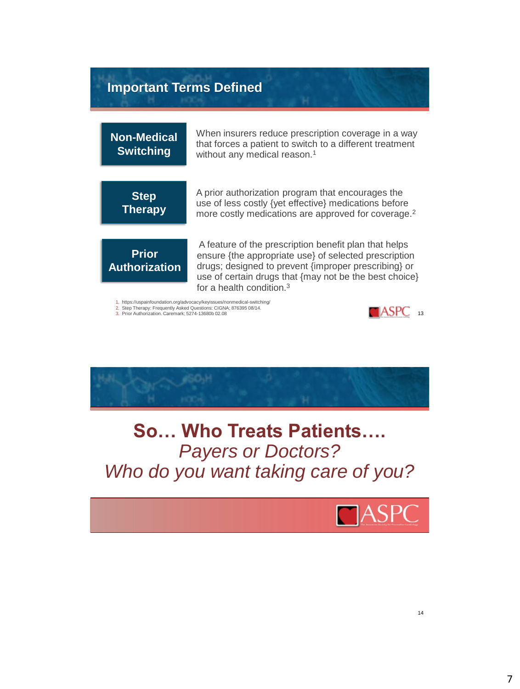### **Important Terms Defined**

**Non-Medical Switching**

When insurers reduce prescription coverage in a way that forces a patient to switch to a different treatment without any medical reason.<sup>1</sup>

**Step Therapy** A prior authorization program that encourages the use of less costly {yet effective} medications before more costly medications are approved for coverage.<sup>2</sup>

**Prior Authorization**

A feature of the prescription benefit plan that helps ensure {the appropriate use} of selected prescription drugs; designed to prevent {improper prescribing} or use of certain drugs that {may not be the best choice} for a health condition.<sup>3</sup>

1. https://uspainfoundation.org/advocacy/keyissues/nonmedical-switching/<br>2. Step Therapy: Frequently Asked Questions: CIGNA; 876395 08/14.<br>3. Prior Authorization. Caremark; 5274-13680b 02.08





**So… Who Treats Patients….** *Payers or Doctors? Who do you want taking care of you?*